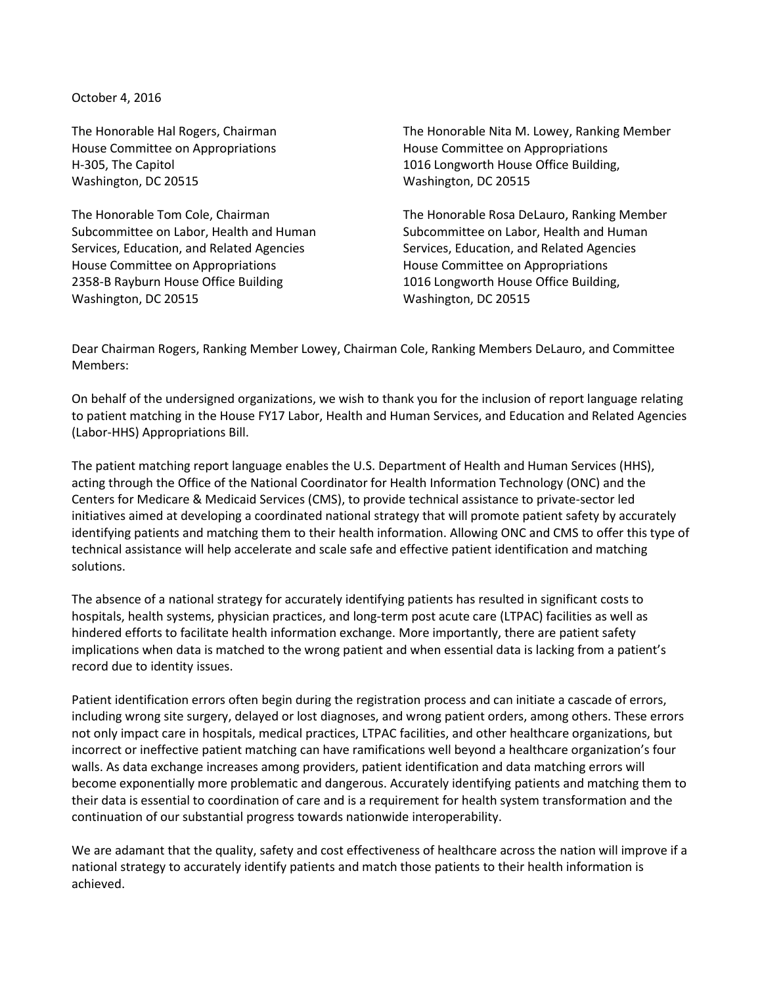October 4, 2016

The Honorable Hal Rogers, Chairman House Committee on Appropriations H-305, The Capitol Washington, DC 20515

The Honorable Tom Cole, Chairman Subcommittee on Labor, Health and Human Services, Education, and Related Agencies House Committee on Appropriations 2358-B Rayburn House Office Building Washington, DC 20515

The Honorable Nita M. Lowey, Ranking Member House Committee on Appropriations 1016 Longworth House Office Building, Washington, DC 20515

The Honorable Rosa DeLauro, Ranking Member Subcommittee on Labor, Health and Human Services, Education, and Related Agencies House Committee on Appropriations 1016 Longworth House Office Building, Washington, DC 20515

Dear Chairman Rogers, Ranking Member Lowey, Chairman Cole, Ranking Members DeLauro, and Committee Members:

On behalf of the undersigned organizations, we wish to thank you for the inclusion of report language relating to patient matching in the House FY17 Labor, Health and Human Services, and Education and Related Agencies (Labor-HHS) Appropriations Bill.

The patient matching report language enables the U.S. Department of Health and Human Services (HHS), acting through the Office of the National Coordinator for Health Information Technology (ONC) and the Centers for Medicare & Medicaid Services (CMS), to provide technical assistance to private-sector led initiatives aimed at developing a coordinated national strategy that will promote patient safety by accurately identifying patients and matching them to their health information. Allowing ONC and CMS to offer this type of technical assistance will help accelerate and scale safe and effective patient identification and matching solutions.

The absence of a national strategy for accurately identifying patients has resulted in significant costs to hospitals, health systems, physician practices, and long-term post acute care (LTPAC) facilities as well as hindered efforts to facilitate health information exchange. More importantly, there are patient safety implications when data is matched to the wrong patient and when essential data is lacking from a patient's record due to identity issues.

Patient identification errors often begin during the registration process and can initiate a cascade of errors, including wrong site surgery, delayed or lost diagnoses, and wrong patient orders, among others. These errors not only impact care in hospitals, medical practices, LTPAC facilities, and other healthcare organizations, but incorrect or ineffective patient matching can have ramifications well beyond a healthcare organization's four walls. As data exchange increases among providers, patient identification and data matching errors will become exponentially more problematic and dangerous. Accurately identifying patients and matching them to their data is essential to coordination of care and is a requirement for health system transformation and the continuation of our substantial progress towards nationwide interoperability.

We are adamant that the quality, safety and cost effectiveness of healthcare across the nation will improve if a national strategy to accurately identify patients and match those patients to their health information is achieved.